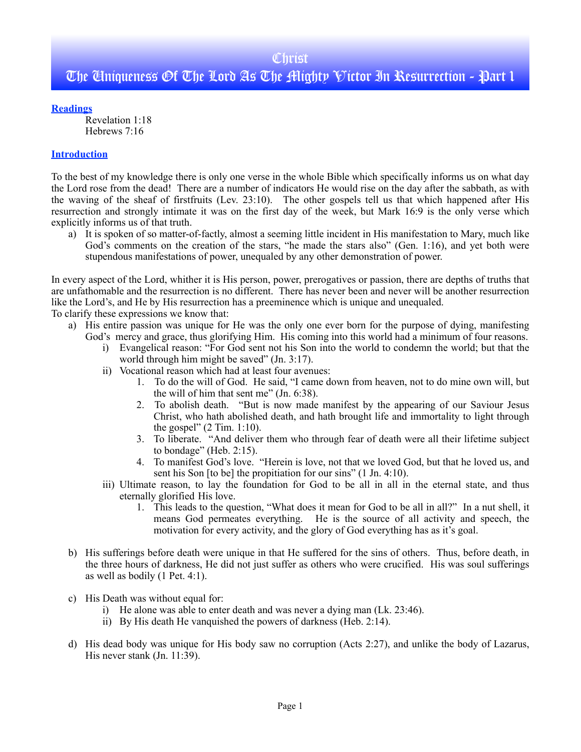## **Christ**

# The Uniqueness Of The Lord As The Mighty Victor In Resurrection - Part 1

**Readings**

Revelation 1:18 Hebrews 7:16

## **Introduction**

To the best of my knowledge there is only one verse in the whole Bible which specifically informs us on what day the Lord rose from the dead! There are a number of indicators He would rise on the day after the sabbath, as with the waving of the sheaf of firstfruits (Lev. 23:10). The other gospels tell us that which happened after His resurrection and strongly intimate it was on the first day of the week, but Mark 16:9 is the only verse which explicitly informs us of that truth.

a) It is spoken of so matter-of-factly, almost a seeming little incident in His manifestation to Mary, much like God's comments on the creation of the stars, "he made the stars also" (Gen. 1:16), and yet both were stupendous manifestations of power, unequaled by any other demonstration of power.

In every aspect of the Lord, whither it is His person, power, prerogatives or passion, there are depths of truths that are unfathomable and the resurrection is no different. There has never been and never will be another resurrection like the Lord's, and He by His resurrection has a preeminence which is unique and unequaled.

To clarify these expressions we know that:

- a) His entire passion was unique for He was the only one ever born for the purpose of dying, manifesting God's mercy and grace, thus glorifying Him. His coming into this world had a minimum of four reasons.
	- i) Evangelical reason: "For God sent not his Son into the world to condemn the world; but that the world through him might be saved" (Jn. 3:17).
	- ii) Vocational reason which had at least four avenues:
		- 1. To do the will of God. He said, "I came down from heaven, not to do mine own will, but the will of him that sent me" (Jn. 6:38).
		- 2. To abolish death. "But is now made manifest by the appearing of our Saviour Jesus Christ, who hath abolished death, and hath brought life and immortality to light through the gospel"  $(2$  Tim. 1:10).
		- 3. To liberate. "And deliver them who through fear of death were all their lifetime subject to bondage" (Heb. 2:15).
		- 4. To manifest God's love. "Herein is love, not that we loved God, but that he loved us, and sent his Son [to be] the propitiation for our sins" (1 Jn. 4:10).
	- iii) Ultimate reason, to lay the foundation for God to be all in all in the eternal state, and thus eternally glorified His love.
		- 1. This leads to the question, "What does it mean for God to be all in all?" In a nut shell, it means God permeates everything. He is the source of all activity and speech, the motivation for every activity, and the glory of God everything has as it's goal.
- b) His sufferings before death were unique in that He suffered for the sins of others. Thus, before death, in the three hours of darkness, He did not just suffer as others who were crucified. His was soul sufferings as well as bodily (1 Pet. 4:1).
- c) His Death was without equal for:
	- i) He alone was able to enter death and was never a dying man (Lk. 23:46).
	- ii) By His death He vanquished the powers of darkness (Heb. 2:14).
- d) His dead body was unique for His body saw no corruption (Acts 2:27), and unlike the body of Lazarus, His never stank (Jn. 11:39).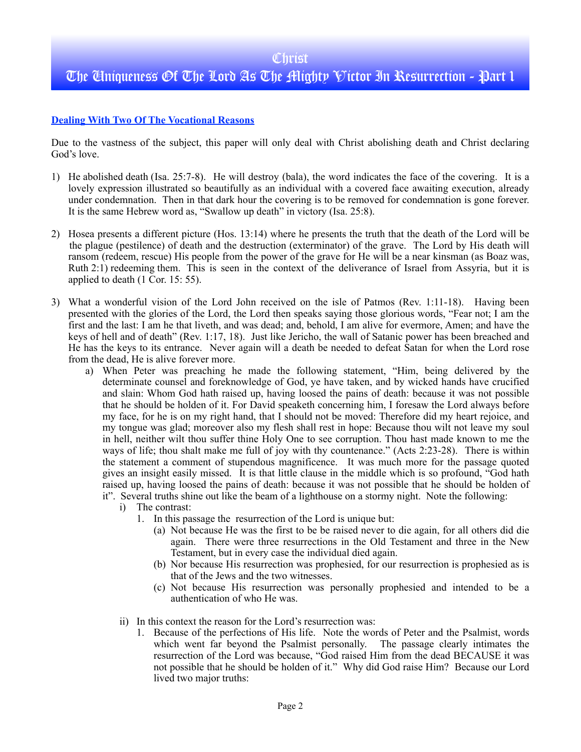## **Dealing With Two Of The Vocational Reasons**

Due to the vastness of the subject, this paper will only deal with Christ abolishing death and Christ declaring God's love.

- 1) He abolished death ( Isa. 25:7-8). He will destroy (bala), the word indicates the face of the covering. It is a lovely expression illustrated so beautifully as an individual with a covered face awaiting execution, already under condemnation. Then in that dark hour the covering is to be removed for condemnation is gone forever. It is the same Hebrew word as, "Swallow up death" in victory (Isa. 25:8).
- 2) Hosea presents a different picture (Hos. 13:14) where he presents the truth that the death of the Lord will be the plague (pestilence) of death and the destruction (exterminator) of the grave. The Lord by His death will ransom (redeem, rescue) His people from the power of the grave for He will be a near kinsman (as Boaz was, Ruth 2:1) redeeming them. This is seen in the context of the deliverance of Israel from Assyria, but it is applied to death (1 Cor. 15: 55).
- 3) What a wonderful vision of the Lord John received on the isle of Patmos (Rev. 1:11-18). Having been presented with the glories of the Lord, the Lord then speaks saying those glorious words, "Fear not; I am the first and the last: I am he that liveth, and was dead; and, behold, I am alive for evermore, Amen; and have the keys of hell and of death" (Rev. 1:17, 18). Just like Jericho, the wall of Satanic power has been breached and He has the keys to its entrance. Never again will a death be needed to defeat Satan for when the Lord rose from the dead, He is alive forever more.
	- a) When Peter was preaching he made the following statement, "Him, being delivered by the determinate counsel and foreknowledge of God, ye have taken, and by wicked hands have crucified and slain: Whom God hath raised up, having loosed the pains of death: because it was not possible that he should be holden of it. For David speaketh concerning him, I foresaw the Lord always before my face, for he is on my right hand, that I should not be moved: Therefore did my heart rejoice, and my tongue was glad; moreover also my flesh shall rest in hope: Because thou wilt not leave my soul in hell, neither wilt thou suffer thine Holy One to see corruption. Thou hast made known to me the ways of life; thou shalt make me full of joy with thy countenance." (Acts 2:23-28). There is within the statement a comment of stupendous magnificence. It was much more for the passage quoted gives an insight easily missed. It is that little clause in the middle which is so profound, "God hath raised up, having loosed the pains of death: because it was not possible that he should be holden of it". Several truths shine out like the beam of a lighthouse on a stormy night. Note the following:
		- i) The contrast:
			- 1. In this passage the resurrection of the Lord is unique but:
				- (a) Not because He was the first to be be raised never to die again, for all others did die again. There were three resurrections in the Old Testament and three in the New Testament, but in every case the individual died again.
				- (b) Nor because His resurrection was prophesied, for our resurrection is prophesied as is that of the Jews and the two witnesses.
				- (c) Not because His resurrection was personally prophesied and intended to be a authentication of who He was.
		- ii) In this context the reason for the Lord's resurrection was:
			- 1. Because of the perfections of His life. Note the words of Peter and the Psalmist, words which went far beyond the Psalmist personally. The passage clearly intimates the resurrection of the Lord was because, "God raised Him from the dead BECAUSE it was not possible that he should be holden of it." Why did God raise Him? Because our Lord lived two major truths: